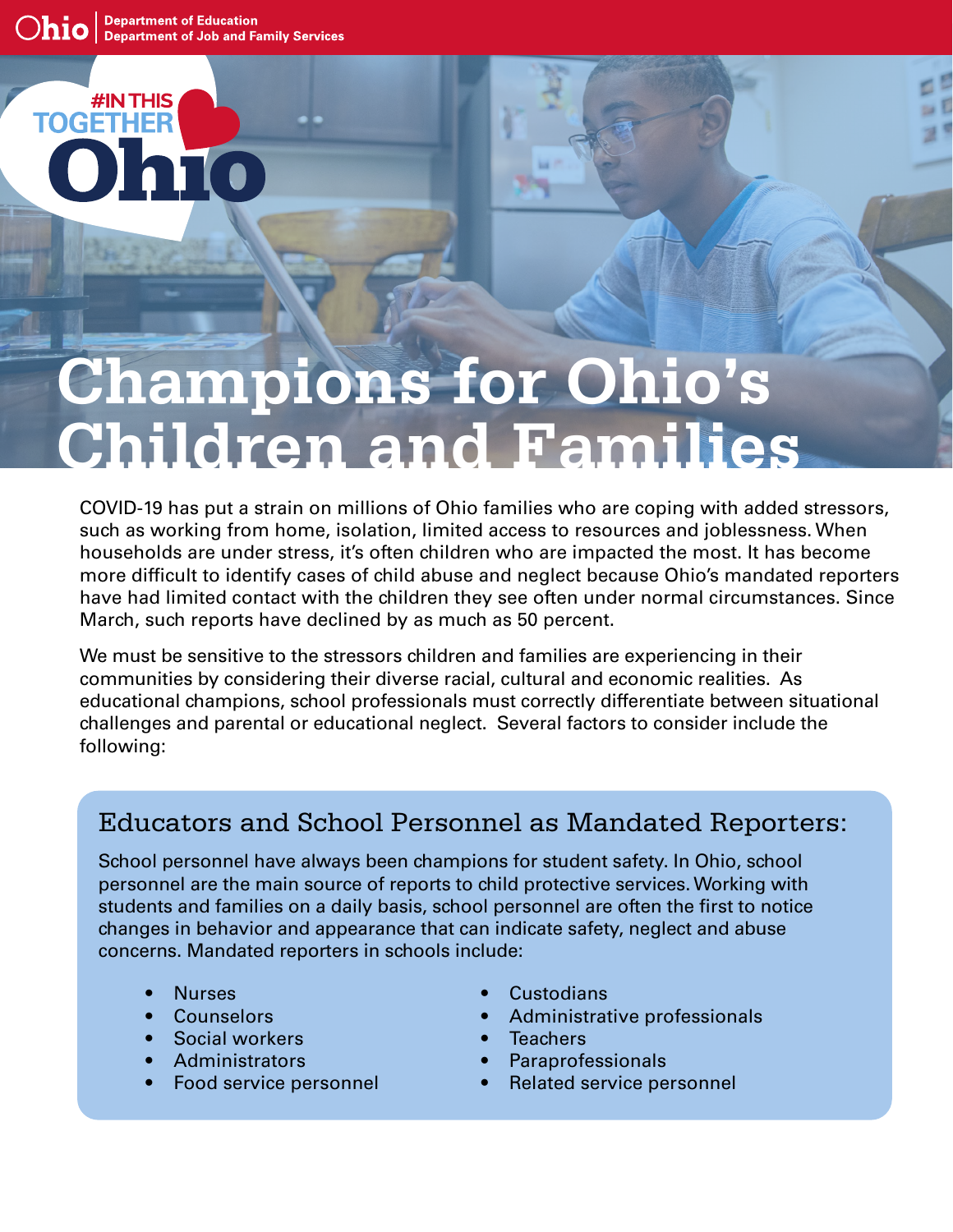#IN THIS

HFF

**TOGET** 

## **Champions for Ohio's Children and Families**

COVID-19 has put a strain on millions of Ohio families who are coping with added stressors, such as working from home, isolation, limited access to resources and joblessness. When households are under stress, it's often children who are impacted the most. It has become more difficult to identify cases of child abuse and neglect because Ohio's mandated reporters have had limited contact with the children they see often under normal circumstances. Since March, such reports have declined by as much as 50 percent.

We must be sensitive to the stressors children and families are experiencing in their communities by considering their diverse racial, cultural and economic realities. As educational champions, school professionals must correctly differentiate between situational challenges and parental or educational neglect. Several factors to consider include the following:

## Educators and School Personnel as Mandated Reporters:

School personnel have always been champions for student safety. In Ohio, school personnel are the main source of reports to child protective services. Working with students and families on a daily basis, school personnel are often the first to notice changes in behavior and appearance that can indicate safety, neglect and abuse concerns. Mandated reporters in schools include:

- Nurses
- Counselors
- Social workers
- **Administrators**
- Food service personnel
- **Custodians**
- Administrative professionals
- Teachers
- **Paraprofessionals**
- Related service personnel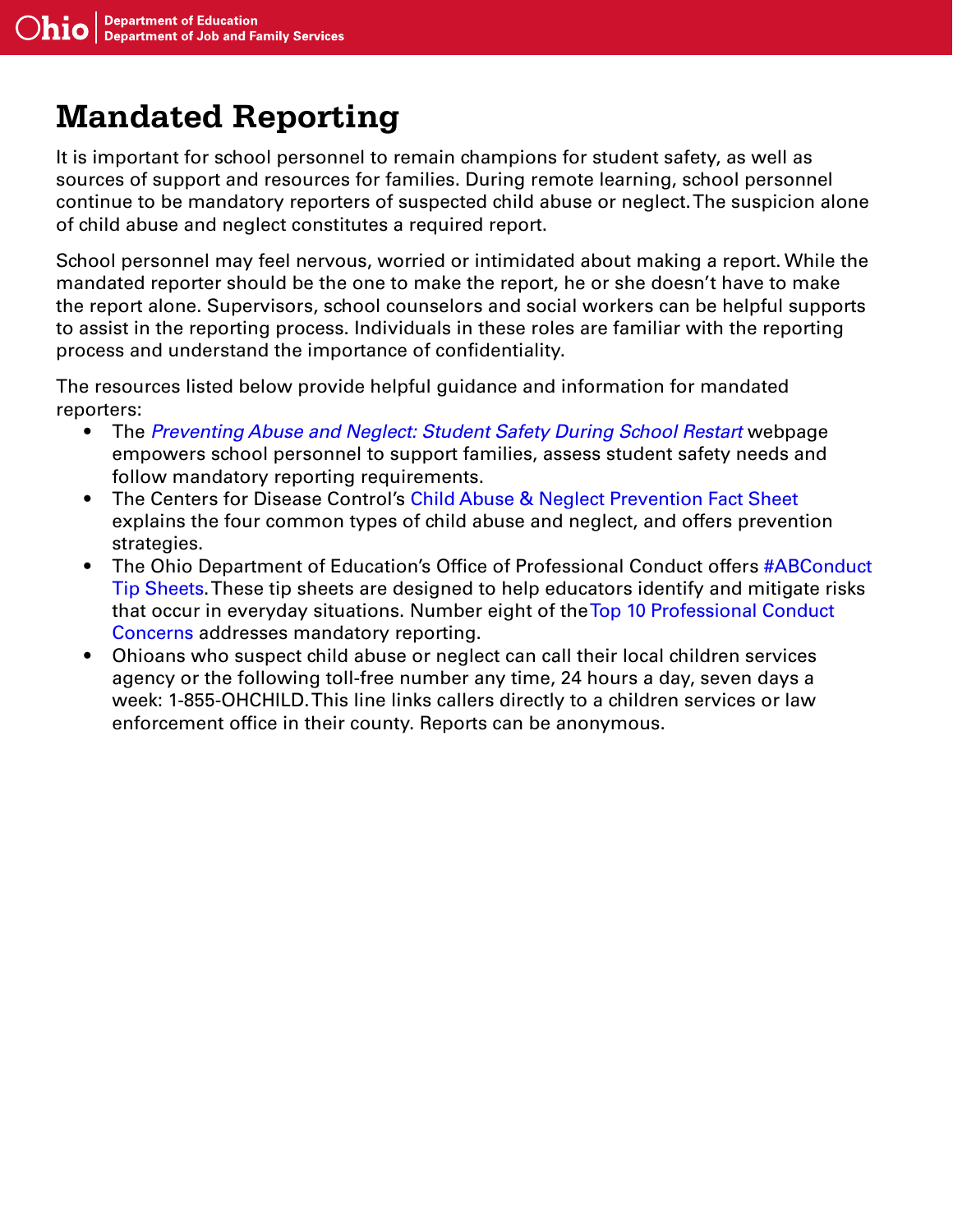## **Mandated Reporting**

It is important for school personnel to remain champions for student safety, as well as sources of support and resources for families. During remote learning, school personnel continue to be mandatory reporters of suspected child abuse or neglect. The suspicion alone of child abuse and neglect constitutes a required report.

School personnel may feel nervous, worried or intimidated about making a report. While the mandated reporter should be the one to make the report, he or she doesn't have to make the report alone. Supervisors, school counselors and social workers can be helpful supports to assist in the reporting process. Individuals in these roles are familiar with the reporting process and understand the importance of confidentiality.

The resources listed below provide helpful guidance and information for mandated reporters:

- The *[Preventing Abuse and Neglect: Student Safety During School Restart](http://education.ohio.gov/Topics/Reset-and-Restart/Preventing-Abuse-and-Neglect)* webpage empowers school personnel to support families, assess student safety needs and follow mandatory reporting requirements.
- The Centers for Disease Control's [Child Abuse & Neglect Prevention Fact Sheet](https://www.cdc.gov/violenceprevention/pdf/can/CAN-factsheet_2020.pdf) explains the four common types of child abuse and neglect, and offers prevention strategies.
- The Ohio Department of Education's Office of Professional Conduct offers #ABConduct [Tip Sheets](http://education.ohio.gov/Topics/Teaching/Educator-Conduct/ABConduct). These tip sheets are designed to help educators identify and mitigate risks that occur in everyday situations. Number eight of th[e Top 10 Professional Conduct](http://education.ohio.gov/getattachment/Topics/Teaching/Educator-Conduct/ABConduct/Top_Ten_TipSheet5.pdf.aspx?lang=en-US)  [Concerns](http://education.ohio.gov/getattachment/Topics/Teaching/Educator-Conduct/ABConduct/Top_Ten_TipSheet5.pdf.aspx?lang=en-US) addresses mandatory reporting.
- Ohioans who suspect child abuse or neglect can call their local children services agency or the following toll-free number any time, 24 hours a day, seven days a week: 1-855-OHCHILD. This line links callers directly to a children services or law enforcement office in their county. Reports can be anonymous.